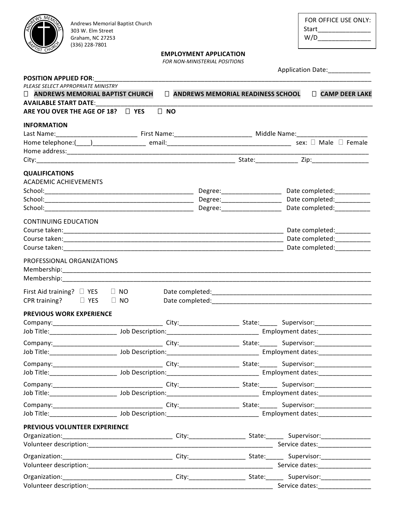| FOR OFFICE USE ONLY: |
|----------------------|
| Start                |
| W/D                  |
|                      |

#### Andrews Memorial Baptist Church 303 W. Elm Street Graham, NC 27253 (336) 228-7801

# **EMPLOYMENT APPLICATION**

**FOR NON-MINISTERIAL POSITIONS** 

|                                                                                                                                                                                                                                | Application Date: _____________ |           |                                   |                              |                                                                                                                |  |
|--------------------------------------------------------------------------------------------------------------------------------------------------------------------------------------------------------------------------------|---------------------------------|-----------|-----------------------------------|------------------------------|----------------------------------------------------------------------------------------------------------------|--|
| <b>POSITION APPLIED FOR:</b><br>PLEASE SELECT APPROPRIATE MINISTRY<br>ANDREWS MEMORIAL BAPTIST CHURCH                                                                                                                          |                                 |           | ANDREWS MEMORIAL READINESS SCHOOL |                              | CAMP DEER LAKE                                                                                                 |  |
| <b>AVAILABLE START DATE:</b><br>ARE YOU OVER THE AGE OF 18? □ YES                                                                                                                                                              |                                 | $\Box$ NO |                                   |                              |                                                                                                                |  |
| <b>INFORMATION</b>                                                                                                                                                                                                             |                                 |           |                                   |                              |                                                                                                                |  |
|                                                                                                                                                                                                                                |                                 |           |                                   |                              |                                                                                                                |  |
|                                                                                                                                                                                                                                |                                 |           |                                   |                              |                                                                                                                |  |
|                                                                                                                                                                                                                                |                                 |           |                                   |                              |                                                                                                                |  |
|                                                                                                                                                                                                                                |                                 |           |                                   |                              |                                                                                                                |  |
| <b>QUALIFICATIONS</b><br><b>ACADEMIC ACHIEVEMENTS</b>                                                                                                                                                                          |                                 |           |                                   |                              |                                                                                                                |  |
|                                                                                                                                                                                                                                |                                 |           |                                   | Degree:_____________________ | Date completed:__________                                                                                      |  |
|                                                                                                                                                                                                                                |                                 |           |                                   |                              | Date completed:__________                                                                                      |  |
|                                                                                                                                                                                                                                |                                 |           |                                   |                              |                                                                                                                |  |
| <b>CONTINUING EDUCATION</b>                                                                                                                                                                                                    |                                 |           |                                   |                              | Date completed:__________                                                                                      |  |
|                                                                                                                                                                                                                                |                                 |           |                                   |                              |                                                                                                                |  |
| Course taken: North American Courses the Courses of the Courses of the Courses of the Courses of the Courses of the Courses of the Courses of the Courses of the Courses of the Courses of the Courses of the Courses of the C |                                 |           |                                   |                              | Date completed:                                                                                                |  |
| PROFESSIONAL ORGANIZATIONS<br>Membership:______________________                                                                                                                                                                |                                 |           |                                   |                              |                                                                                                                |  |
| First Aid training? $\square$ YES $\square$ NO<br>CPR training? $\Box$ YES                                                                                                                                                     | $\Box$ NO                       |           |                                   |                              | Date completed: National Complete Complete Complete Complete Complete Complete Complete Complete Complete Comp |  |
| <b>PREVIOUS WORK EXPERIENCE</b>                                                                                                                                                                                                |                                 |           |                                   |                              |                                                                                                                |  |
|                                                                                                                                                                                                                                |                                 |           |                                   |                              |                                                                                                                |  |
| Job Title:_______________________                                                                                                                                                                                              |                                 |           |                                   |                              |                                                                                                                |  |
|                                                                                                                                                                                                                                |                                 |           |                                   |                              |                                                                                                                |  |
|                                                                                                                                                                                                                                |                                 |           |                                   |                              |                                                                                                                |  |
|                                                                                                                                                                                                                                |                                 |           |                                   |                              |                                                                                                                |  |
|                                                                                                                                                                                                                                |                                 |           |                                   |                              |                                                                                                                |  |
|                                                                                                                                                                                                                                |                                 |           |                                   |                              |                                                                                                                |  |
|                                                                                                                                                                                                                                |                                 |           |                                   |                              |                                                                                                                |  |
|                                                                                                                                                                                                                                |                                 |           |                                   |                              |                                                                                                                |  |
|                                                                                                                                                                                                                                |                                 |           |                                   |                              |                                                                                                                |  |
|                                                                                                                                                                                                                                |                                 |           |                                   |                              |                                                                                                                |  |
| PREVIOUS VOLUNTEER EXPERIENCE                                                                                                                                                                                                  |                                 |           |                                   |                              |                                                                                                                |  |
| Volunteer description:                                                                                                                                                                                                         |                                 |           |                                   |                              |                                                                                                                |  |
|                                                                                                                                                                                                                                |                                 |           |                                   |                              |                                                                                                                |  |
| Volunteer description:                                                                                                                                                                                                         |                                 |           |                                   |                              | Service dates: Service dates:                                                                                  |  |
|                                                                                                                                                                                                                                |                                 |           |                                   |                              |                                                                                                                |  |

Organization:\_\_\_\_\_\_\_\_\_\_\_\_\_\_\_\_\_\_\_\_\_\_\_\_\_\_\_\_\_\_\_\_\_\_\_City:\_\_\_\_\_\_\_\_\_\_\_\_\_\_\_\_\_\_\_\_\_\_\_\_\_\_\_\_ Supervisor:\_\_\_\_\_\_\_\_\_\_\_\_\_\_\_\_\_ Volunteer description: etc. and the set of the set of the set of the set of the set of the set of the set of the set of the set of the set of the set of the set of the set of the set of the set of the set of the set of the